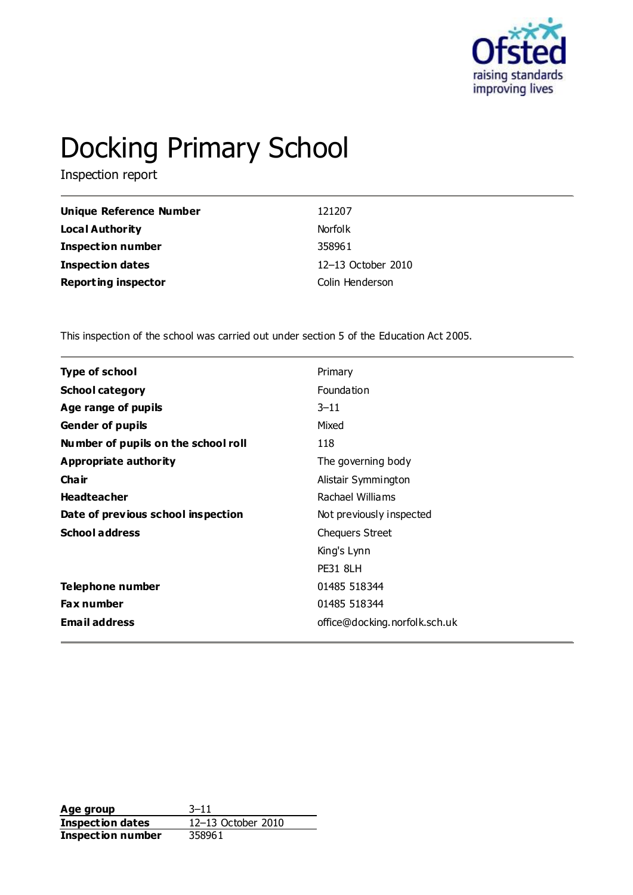

# Docking Primary School

Inspection report

| Unique Reference Number    | 121207             |
|----------------------------|--------------------|
| <b>Local Authority</b>     | <b>Norfolk</b>     |
| <b>Inspection number</b>   | 358961             |
| Inspection dates           | 12-13 October 2010 |
| <b>Reporting inspector</b> | Colin Henderson    |

This inspection of the school was carried out under section 5 of the Education Act 2005.

| <b>Type of school</b>               | Primary                       |
|-------------------------------------|-------------------------------|
| <b>School category</b>              | Foundation                    |
| Age range of pupils                 | $3 - 11$                      |
| <b>Gender of pupils</b>             | Mixed                         |
| Number of pupils on the school roll | 118                           |
| Appropriate authority               | The governing body            |
| Cha ir                              | Alistair Symmington           |
| <b>Headteacher</b>                  | Rachael Williams              |
| Date of previous school inspection  | Not previously inspected      |
| <b>School address</b>               | <b>Chequers Street</b>        |
|                                     | King's Lynn                   |
|                                     | <b>PE31 8LH</b>               |
| <b>Telephone number</b>             | 01485 518344                  |
| <b>Fax number</b>                   | 01485 518344                  |
| <b>Email address</b>                | office@docking.norfolk.sch.uk |
|                                     |                               |

**Age group** 3–11<br> **Inspection dates** 12–13 October 2010 **Inspection dates Inspection number** 358961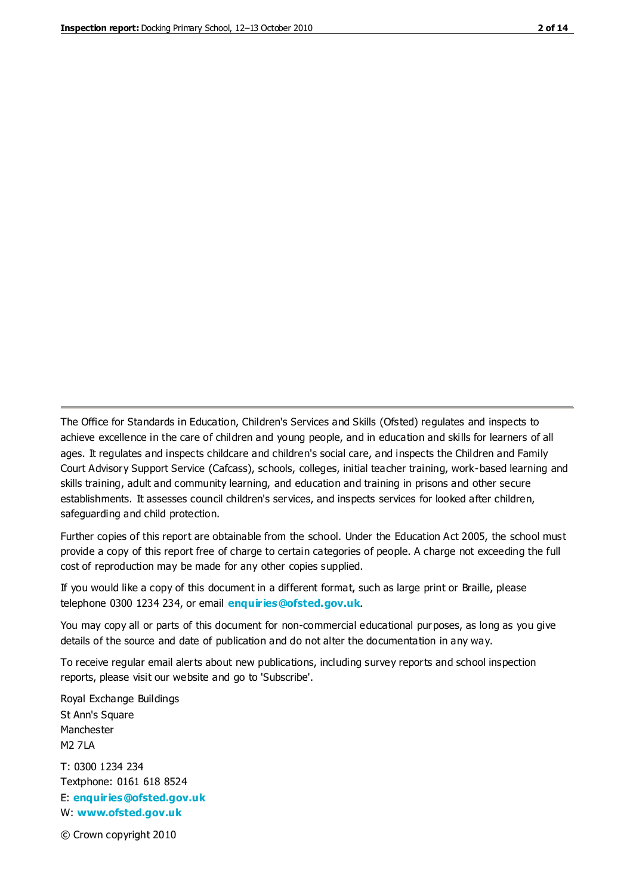The Office for Standards in Education, Children's Services and Skills (Ofsted) regulates and inspects to achieve excellence in the care of children and young people, and in education and skills for learners of all ages. It regulates and inspects childcare and children's social care, and inspects the Children and Family Court Advisory Support Service (Cafcass), schools, colleges, initial teacher training, work-based learning and skills training, adult and community learning, and education and training in prisons and other secure establishments. It assesses council children's services, and inspects services for looked after children, safeguarding and child protection.

Further copies of this report are obtainable from the school. Under the Education Act 2005, the school must provide a copy of this report free of charge to certain categories of people. A charge not exceeding the full cost of reproduction may be made for any other copies supplied.

If you would like a copy of this document in a different format, such as large print or Braille, please telephone 0300 1234 234, or email **[enquiries@ofsted.gov.uk](mailto:enquiries@ofsted.gov.uk)**.

You may copy all or parts of this document for non-commercial educational purposes, as long as you give details of the source and date of publication and do not alter the documentation in any way.

To receive regular email alerts about new publications, including survey reports and school inspection reports, please visit our website and go to 'Subscribe'.

Royal Exchange Buildings St Ann's Square Manchester M2 7LA T: 0300 1234 234 Textphone: 0161 618 8524 E: **[enquiries@ofsted.gov.uk](mailto:enquiries@ofsted.gov.uk)**

W: **[www.ofsted.gov.uk](http://www.ofsted.gov.uk/)**

© Crown copyright 2010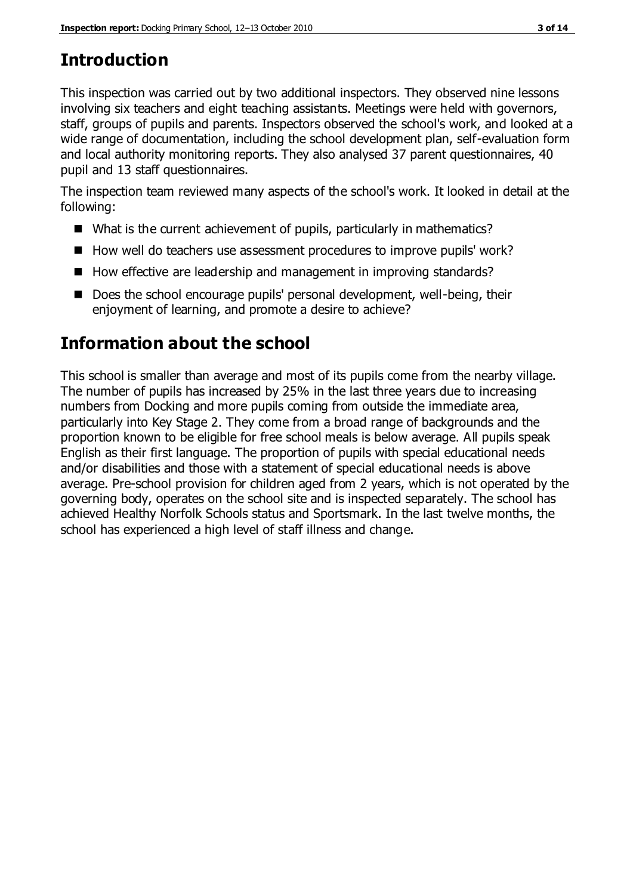# **Introduction**

This inspection was carried out by two additional inspectors. They observed nine lessons involving six teachers and eight teaching assistants. Meetings were held with governors, staff, groups of pupils and parents. Inspectors observed the school's work, and looked at a wide range of documentation, including the school development plan, self-evaluation form and local authority monitoring reports. They also analysed 37 parent questionnaires, 40 pupil and 13 staff questionnaires.

The inspection team reviewed many aspects of the school's work. It looked in detail at the following:

- What is the current achievement of pupils, particularly in mathematics?
- How well do teachers use assessment procedures to improve pupils' work?
- How effective are leadership and management in improving standards?
- Does the school encourage pupils' personal development, well-being, their enjoyment of learning, and promote a desire to achieve?

# **Information about the school**

This school is smaller than average and most of its pupils come from the nearby village. The number of pupils has increased by 25% in the last three years due to increasing numbers from Docking and more pupils coming from outside the immediate area, particularly into Key Stage 2. They come from a broad range of backgrounds and the proportion known to be eligible for free school meals is below average. All pupils speak English as their first language. The proportion of pupils with special educational needs and/or disabilities and those with a statement of special educational needs is above average. Pre-school provision for children aged from 2 years, which is not operated by the governing body, operates on the school site and is inspected separately. The school has achieved Healthy Norfolk Schools status and Sportsmark. In the last twelve months, the school has experienced a high level of staff illness and change.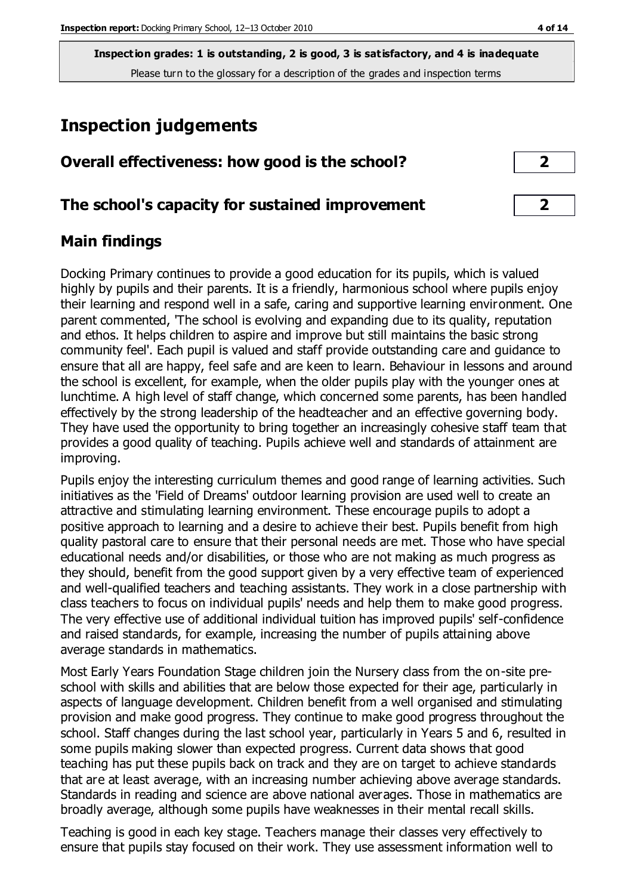**Inspection grades: 1 is outstanding, 2 is good, 3 is satisfactory, and 4 is inadequate** Please turn to the glossary for a description of the grades and inspection terms

## **Inspection judgements**

| Overall effectiveness: how good is the school? |  |
|------------------------------------------------|--|
|------------------------------------------------|--|

#### **The school's capacity for sustained improvement 2**

#### **Main findings**

Docking Primary continues to provide a good education for its pupils, which is valued highly by pupils and their parents. It is a friendly, harmonious school where pupils enjoy their learning and respond well in a safe, caring and supportive learning environment. One parent commented, 'The school is evolving and expanding due to its quality, reputation and ethos. It helps children to aspire and improve but still maintains the basic strong community feel'. Each pupil is valued and staff provide outstanding care and guidance to ensure that all are happy, feel safe and are keen to learn. Behaviour in lessons and around the school is excellent, for example, when the older pupils play with the younger ones at lunchtime. A high level of staff change, which concerned some parents, has been handled effectively by the strong leadership of the headteacher and an effective governing body. They have used the opportunity to bring together an increasingly cohesive staff team that provides a good quality of teaching. Pupils achieve well and standards of attainment are improving.

Pupils enjoy the interesting curriculum themes and good range of learning activities. Such initiatives as the 'Field of Dreams' outdoor learning provision are used well to create an attractive and stimulating learning environment. These encourage pupils to adopt a positive approach to learning and a desire to achieve their best. Pupils benefit from high quality pastoral care to ensure that their personal needs are met. Those who have special educational needs and/or disabilities, or those who are not making as much progress as they should, benefit from the good support given by a very effective team of experienced and well-qualified teachers and teaching assistants. They work in a close partnership with class teachers to focus on individual pupils' needs and help them to make good progress. The very effective use of additional individual tuition has improved pupils' self-confidence and raised standards, for example, increasing the number of pupils attaining above average standards in mathematics.

Most Early Years Foundation Stage children join the Nursery class from the on-site preschool with skills and abilities that are below those expected for their age, particularly in aspects of language development. Children benefit from a well organised and stimulating provision and make good progress. They continue to make good progress throughout the school. Staff changes during the last school year, particularly in Years 5 and 6, resulted in some pupils making slower than expected progress. Current data shows that good teaching has put these pupils back on track and they are on target to achieve standards that are at least average, with an increasing number achieving above average standards. Standards in reading and science are above national averages. Those in mathematics are broadly average, although some pupils have weaknesses in their mental recall skills.

Teaching is good in each key stage. Teachers manage their classes very effectively to ensure that pupils stay focused on their work. They use assessment information well to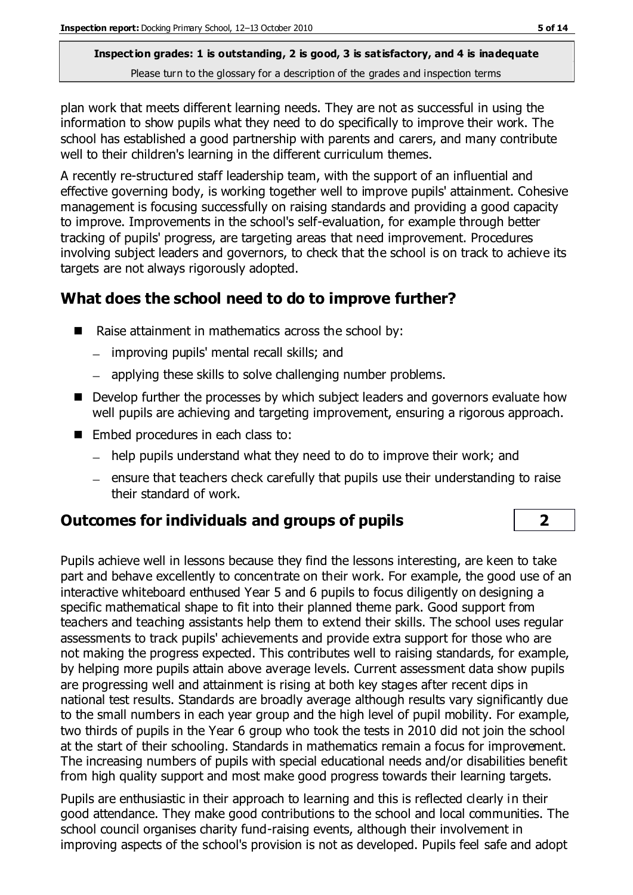#### **Inspection grades: 1 is outstanding, 2 is good, 3 is satisfactory, and 4 is inadequate** Please turn to the glossary for a description of the grades and inspection terms

plan work that meets different learning needs. They are not as successful in using the information to show pupils what they need to do specifically to improve their work. The school has established a good partnership with parents and carers, and many contribute well to their children's learning in the different curriculum themes.

A recently re-structured staff leadership team, with the support of an influential and effective governing body, is working together well to improve pupils' attainment. Cohesive management is focusing successfully on raising standards and providing a good capacity to improve. Improvements in the school's self-evaluation, for example through better tracking of pupils' progress, are targeting areas that need improvement. Procedures involving subject leaders and governors, to check that the school is on track to achieve its targets are not always rigorously adopted.

## **What does the school need to do to improve further?**

- Raise attainment in mathematics across the school by:
	- improving pupils' mental recall skills; and
	- applying these skills to solve challenging number problems.
- Develop further the processes by which subject leaders and governors evaluate how well pupils are achieving and targeting improvement, ensuring a rigorous approach.
- Embed procedures in each class to:
	- help pupils understand what they need to do to improve their work; and
	- $-$  ensure that teachers check carefully that pupils use their understanding to raise their standard of work.

## **Outcomes for individuals and groups of pupils 2**

Pupils achieve well in lessons because they find the lessons interesting, are keen to take part and behave excellently to concentrate on their work. For example, the good use of an interactive whiteboard enthused Year 5 and 6 pupils to focus diligently on designing a specific mathematical shape to fit into their planned theme park. Good support from teachers and teaching assistants help them to extend their skills. The school uses regular assessments to track pupils' achievements and provide extra support for those who are not making the progress expected. This contributes well to raising standards, for example, by helping more pupils attain above average levels. Current assessment data show pupils are progressing well and attainment is rising at both key stages after recent dips in national test results. Standards are broadly average although results vary significantly due to the small numbers in each year group and the high level of pupil mobility. For example, two thirds of pupils in the Year 6 group who took the tests in 2010 did not join the school at the start of their schooling. Standards in mathematics remain a focus for improvement. The increasing numbers of pupils with special educational needs and/or disabilities benefit from high quality support and most make good progress towards their learning targets.

Pupils are enthusiastic in their approach to learning and this is reflected clearly in their good attendance. They make good contributions to the school and local communities. The school council organises charity fund-raising events, although their involvement in improving aspects of the school's provision is not as developed. Pupils feel safe and adopt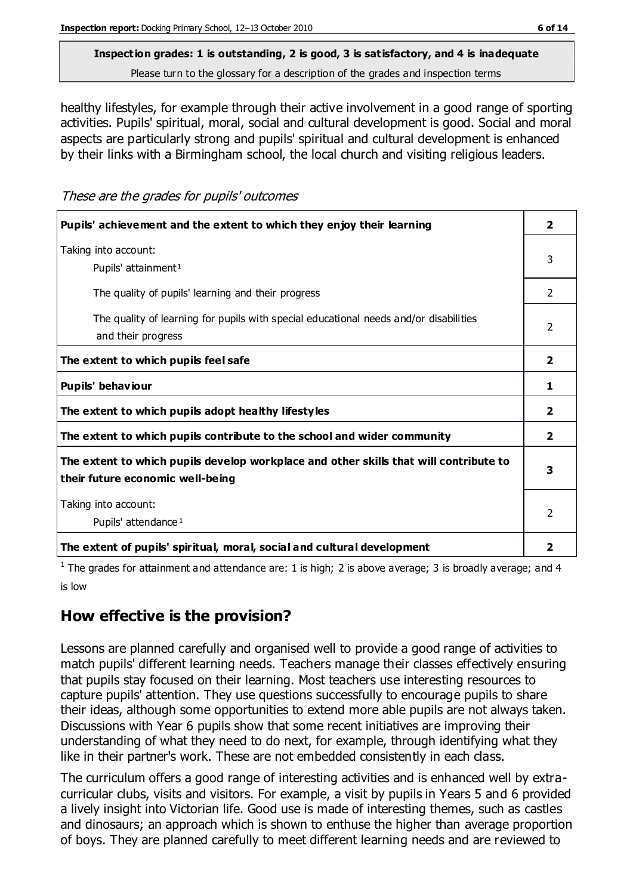## **Inspection grades: 1 is outstanding, 2 is good, 3 is satisfactory, and 4 is inadequate**

Please turn to the glossary for a description of the grades and inspection terms

healthy lifestyles, for example through their active involvement in a good range of sporting activities. Pupils' spiritual, moral, social and cultural development is good. Social and moral aspects are particularly strong and pupils' spiritual and cultural development is enhanced by their links with a Birmingham school, the local church and visiting religious leaders.

These are the grades for pupils' outcomes

| Pupils' achievement and the extent to which they enjoy their learning                                                     | $\overline{2}$           |
|---------------------------------------------------------------------------------------------------------------------------|--------------------------|
| Taking into account:<br>Pupils' attainment <sup>1</sup>                                                                   | 3                        |
| The quality of pupils' learning and their progress                                                                        | 2                        |
| The quality of learning for pupils with special educational needs and/or disabilities<br>and their progress               | $\overline{\phantom{0}}$ |
| The extent to which pupils feel safe                                                                                      | $\overline{2}$           |
| Pupils' behaviour                                                                                                         | 1                        |
| The extent to which pupils adopt healthy lifestyles                                                                       | $\overline{2}$           |
| The extent to which pupils contribute to the school and wider community                                                   | $\overline{2}$           |
| The extent to which pupils develop workplace and other skills that will contribute to<br>their future economic well-being |                          |
| Taking into account:<br>Pupils' attendance <sup>1</sup>                                                                   |                          |
| The extent of pupils' spiritual, moral, social and cultural development                                                   | 2                        |

<sup>1</sup> The grades for attainment and attendance are: 1 is high; 2 is above average; 3 is broadly average; and 4 is low

## **How effective is the provision?**

Lessons are planned carefully and organised well to provide a good range of activities to match pupils' different learning needs. Teachers manage their classes effectively ensuring that pupils stay focused on their learning. Most teachers use interesting resources to capture pupils' attention. They use questions successfully to encourage pupils to share their ideas, although some opportunities to extend more able pupils are not always taken. Discussions with Year 6 pupils show that some recent initiatives are improving their understanding of what they need to do next, for example, through identifying what they like in their partner's work. These are not embedded consistently in each class.

The curriculum offers a good range of interesting activities and is enhanced well by extracurricular clubs, visits and visitors. For example, a visit by pupils in Years 5 and 6 provided a lively insight into Victorian life. Good use is made of interesting themes, such as castles and dinosaurs; an approach which is shown to enthuse the higher than average proportion of boys. They are planned carefully to meet different learning needs and are reviewed to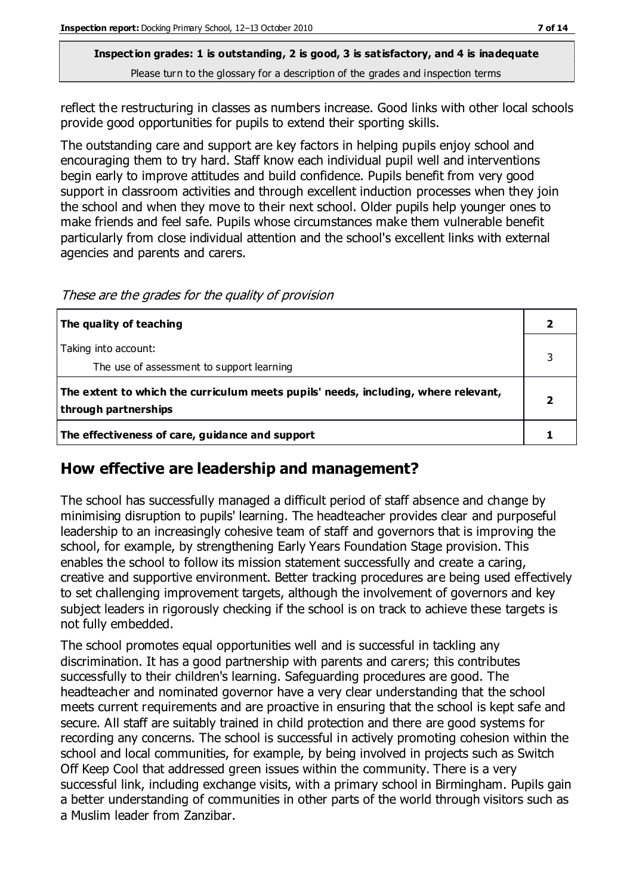#### **Inspection grades: 1 is outstanding, 2 is good, 3 is satisfactory, and 4 is inadequate** Please turn to the glossary for a description of the grades and inspection terms

reflect the restructuring in classes as numbers increase. Good links with other local schools provide good opportunities for pupils to extend their sporting skills.

The outstanding care and support are key factors in helping pupils enjoy school and encouraging them to try hard. Staff know each individual pupil well and interventions begin early to improve attitudes and build confidence. Pupils benefit from very good support in classroom activities and through excellent induction processes when they join the school and when they move to their next school. Older pupils help younger ones to make friends and feel safe. Pupils whose circumstances make them vulnerable benefit particularly from close individual attention and the school's excellent links with external agencies and parents and carers.

These are the grades for the quality of provision

| The quality of teaching                                                                                    |  |
|------------------------------------------------------------------------------------------------------------|--|
| Taking into account:<br>The use of assessment to support learning                                          |  |
| The extent to which the curriculum meets pupils' needs, including, where relevant,<br>through partnerships |  |
| The effectiveness of care, guidance and support                                                            |  |

#### **How effective are leadership and management?**

The school has successfully managed a difficult period of staff absence and change by minimising disruption to pupils' learning. The headteacher provides clear and purposeful leadership to an increasingly cohesive team of staff and governors that is improving the school, for example, by strengthening Early Years Foundation Stage provision. This enables the school to follow its mission statement successfully and create a caring, creative and supportive environment. Better tracking procedures are being used effectively to set challenging improvement targets, although the involvement of governors and key subject leaders in rigorously checking if the school is on track to achieve these targets is not fully embedded.

The school promotes equal opportunities well and is successful in tackling any discrimination. It has a good partnership with parents and carers; this contributes successfully to their children's learning. Safeguarding procedures are good. The headteacher and nominated governor have a very clear understanding that the school meets current requirements and are proactive in ensuring that the school is kept safe and secure. All staff are suitably trained in child protection and there are good systems for recording any concerns. The school is successful in actively promoting cohesion within the school and local communities, for example, by being involved in projects such as Switch Off Keep Cool that addressed green issues within the community. There is a very successful link, including exchange visits, with a primary school in Birmingham. Pupils gain a better understanding of communities in other parts of the world through visitors such as a Muslim leader from Zanzibar.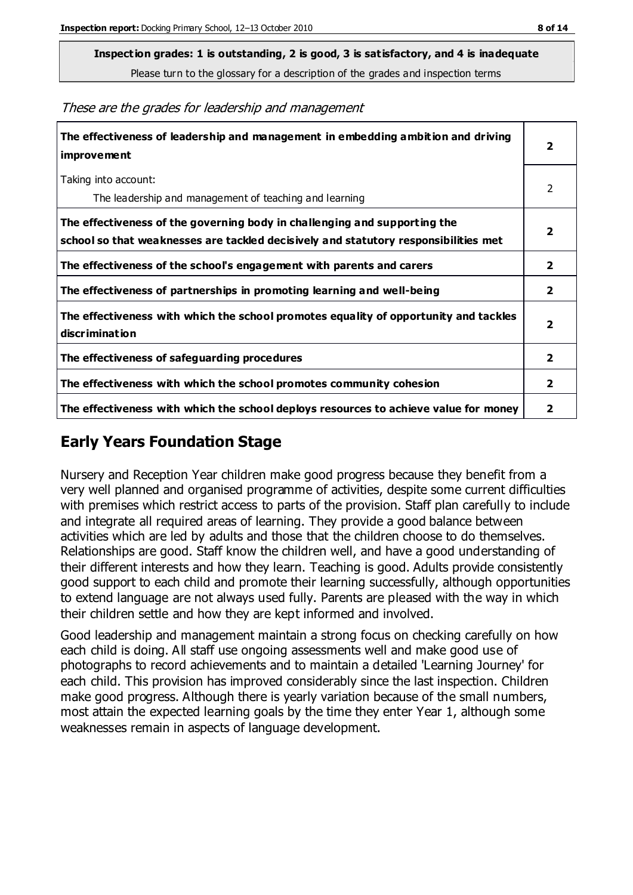**Inspection grades: 1 is outstanding, 2 is good, 3 is satisfactory, and 4 is inadequate**

Please turn to the glossary for a description of the grades and inspection terms

These are the grades for leadership and management

| The effectiveness of leadership and management in embedding ambition and driving<br>improvement                                                                  |                         |
|------------------------------------------------------------------------------------------------------------------------------------------------------------------|-------------------------|
| Taking into account:<br>The leadership and management of teaching and learning                                                                                   | 2                       |
| The effectiveness of the governing body in challenging and supporting the<br>school so that weaknesses are tackled decisively and statutory responsibilities met | $\overline{2}$          |
| The effectiveness of the school's engagement with parents and carers                                                                                             | $\overline{\mathbf{2}}$ |
| The effectiveness of partnerships in promoting learning and well-being                                                                                           | 2                       |
| The effectiveness with which the school promotes equality of opportunity and tackles<br>discrimination                                                           | $\overline{\mathbf{2}}$ |
| The effectiveness of safeguarding procedures                                                                                                                     | 2                       |
| The effectiveness with which the school promotes community cohesion                                                                                              | 2                       |
| The effectiveness with which the school deploys resources to achieve value for money                                                                             | 2                       |

#### **Early Years Foundation Stage**

Nursery and Reception Year children make good progress because they benefit from a very well planned and organised programme of activities, despite some current difficulties with premises which restrict access to parts of the provision. Staff plan carefully to include and integrate all required areas of learning. They provide a good balance between activities which are led by adults and those that the children choose to do themselves. Relationships are good. Staff know the children well, and have a good understanding of their different interests and how they learn. Teaching is good. Adults provide consistently good support to each child and promote their learning successfully, although opportunities to extend language are not always used fully. Parents are pleased with the way in which their children settle and how they are kept informed and involved.

Good leadership and management maintain a strong focus on checking carefully on how each child is doing. All staff use ongoing assessments well and make good use of photographs to record achievements and to maintain a detailed 'Learning Journey' for each child. This provision has improved considerably since the last inspection. Children make good progress. Although there is yearly variation because of the small numbers, most attain the expected learning goals by the time they enter Year 1, although some weaknesses remain in aspects of language development.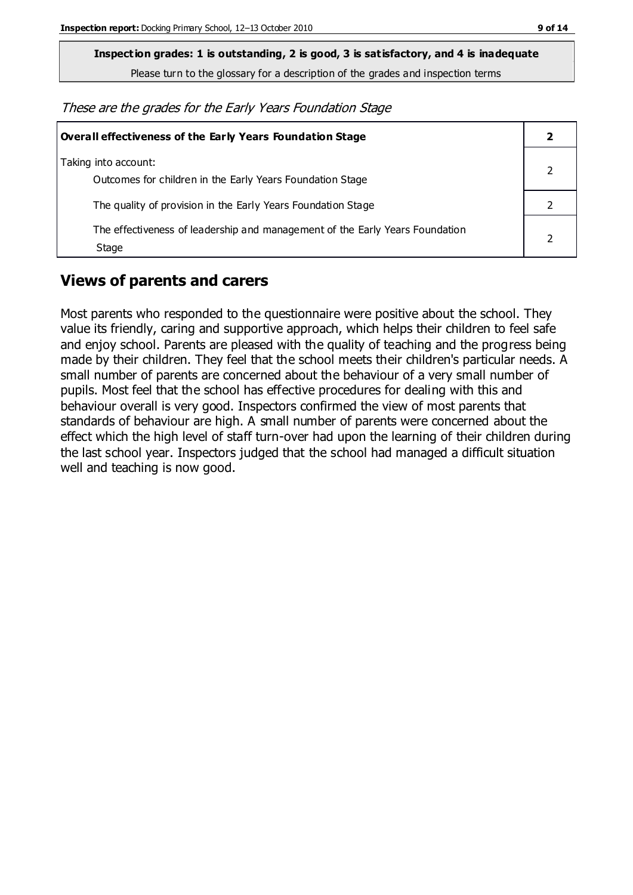**Inspection grades: 1 is outstanding, 2 is good, 3 is satisfactory, and 4 is inadequate**

Please turn to the glossary for a description of the grades and inspection terms

These are the grades for the Early Years Foundation Stage

| <b>Overall effectiveness of the Early Years Foundation Stage</b>                      |  |
|---------------------------------------------------------------------------------------|--|
| Taking into account:<br>Outcomes for children in the Early Years Foundation Stage     |  |
| The quality of provision in the Early Years Foundation Stage                          |  |
| The effectiveness of leadership and management of the Early Years Foundation<br>Stage |  |

#### **Views of parents and carers**

Most parents who responded to the questionnaire were positive about the school. They value its friendly, caring and supportive approach, which helps their children to feel safe and enjoy school. Parents are pleased with the quality of teaching and the progress being made by their children. They feel that the school meets their children's particular needs. A small number of parents are concerned about the behaviour of a very small number of pupils. Most feel that the school has effective procedures for dealing with this and behaviour overall is very good. Inspectors confirmed the view of most parents that standards of behaviour are high. A small number of parents were concerned about the effect which the high level of staff turn-over had upon the learning of their children during the last school year. Inspectors judged that the school had managed a difficult situation well and teaching is now good.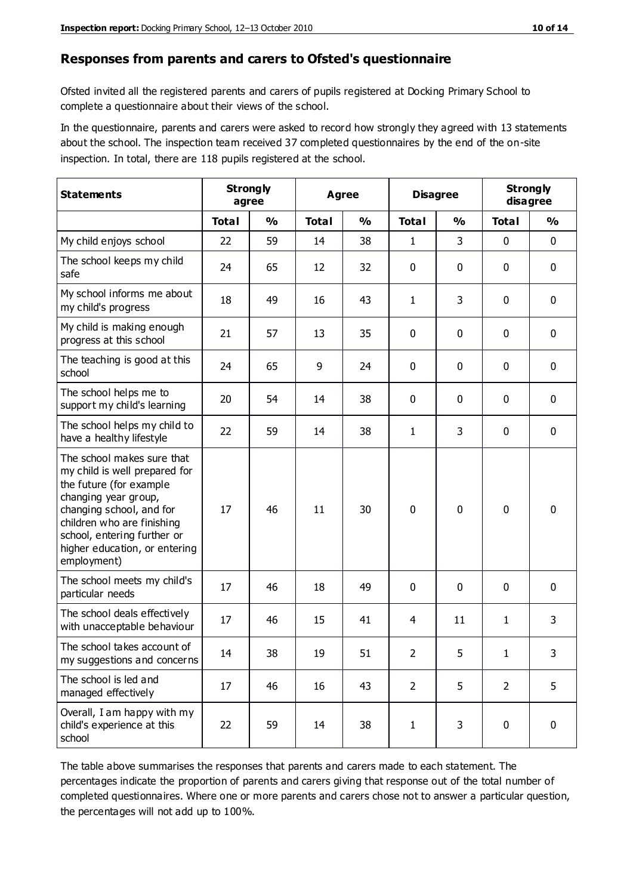#### **Responses from parents and carers to Ofsted's questionnaire**

Ofsted invited all the registered parents and carers of pupils registered at Docking Primary School to complete a questionnaire about their views of the school.

In the questionnaire, parents and carers were asked to record how strongly they agreed with 13 statements about the school. The inspection team received 37 completed questionnaires by the end of the on-site inspection. In total, there are 118 pupils registered at the school.

| <b>Statements</b>                                                                                                                                                                                                                                       | <b>Strongly</b><br>agree |               |              | <b>Disagree</b><br>Agree |                | <b>Strongly</b><br>disagree |                |               |
|---------------------------------------------------------------------------------------------------------------------------------------------------------------------------------------------------------------------------------------------------------|--------------------------|---------------|--------------|--------------------------|----------------|-----------------------------|----------------|---------------|
|                                                                                                                                                                                                                                                         | <b>Total</b>             | $\frac{0}{0}$ | <b>Total</b> | $\frac{0}{0}$            | <b>Total</b>   | $\frac{0}{0}$               | <b>Total</b>   | $\frac{0}{0}$ |
| My child enjoys school                                                                                                                                                                                                                                  | 22                       | 59            | 14           | 38                       | 1              | 3                           | $\mathbf 0$    | $\mathbf 0$   |
| The school keeps my child<br>safe                                                                                                                                                                                                                       | 24                       | 65            | 12           | 32                       | 0              | 0                           | $\mathbf 0$    | $\mathbf 0$   |
| My school informs me about<br>my child's progress                                                                                                                                                                                                       | 18                       | 49            | 16           | 43                       | 1              | 3                           | $\mathbf 0$    | $\mathbf 0$   |
| My child is making enough<br>progress at this school                                                                                                                                                                                                    | 21                       | 57            | 13           | 35                       | 0              | 0                           | 0              | $\mathbf 0$   |
| The teaching is good at this<br>school                                                                                                                                                                                                                  | 24                       | 65            | 9            | 24                       | 0              | 0                           | $\mathbf 0$    | $\mathbf 0$   |
| The school helps me to<br>support my child's learning                                                                                                                                                                                                   | 20                       | 54            | 14           | 38                       | 0              | 0                           | $\mathbf 0$    | $\mathbf 0$   |
| The school helps my child to<br>have a healthy lifestyle                                                                                                                                                                                                | 22                       | 59            | 14           | 38                       | $\mathbf{1}$   | 3                           | $\mathbf 0$    | $\mathbf 0$   |
| The school makes sure that<br>my child is well prepared for<br>the future (for example<br>changing year group,<br>changing school, and for<br>children who are finishing<br>school, entering further or<br>higher education, or entering<br>employment) | 17                       | 46            | 11           | 30                       | $\mathbf 0$    | 0                           | $\mathbf 0$    | $\mathbf 0$   |
| The school meets my child's<br>particular needs                                                                                                                                                                                                         | 17                       | 46            | 18           | 49                       | 0              | $\mathbf{0}$                | $\mathbf 0$    | $\mathbf 0$   |
| The school deals effectively<br>with unacceptable behaviour                                                                                                                                                                                             | 17                       | 46            | 15           | 41                       | 4              | 11                          | 1              | 3             |
| The school takes account of<br>my suggestions and concerns                                                                                                                                                                                              | 14                       | 38            | 19           | 51                       | 2              | 5                           | 1              | 3             |
| The school is led and<br>managed effectively                                                                                                                                                                                                            | 17                       | 46            | 16           | 43                       | $\overline{2}$ | 5                           | $\overline{2}$ | 5             |
| Overall, I am happy with my<br>child's experience at this<br>school                                                                                                                                                                                     | 22                       | 59            | 14           | 38                       | $\mathbf{1}$   | 3                           | $\mathbf 0$    | $\mathbf 0$   |

The table above summarises the responses that parents and carers made to each statement. The percentages indicate the proportion of parents and carers giving that response out of the total number of completed questionnaires. Where one or more parents and carers chose not to answer a particular question, the percentages will not add up to 100%.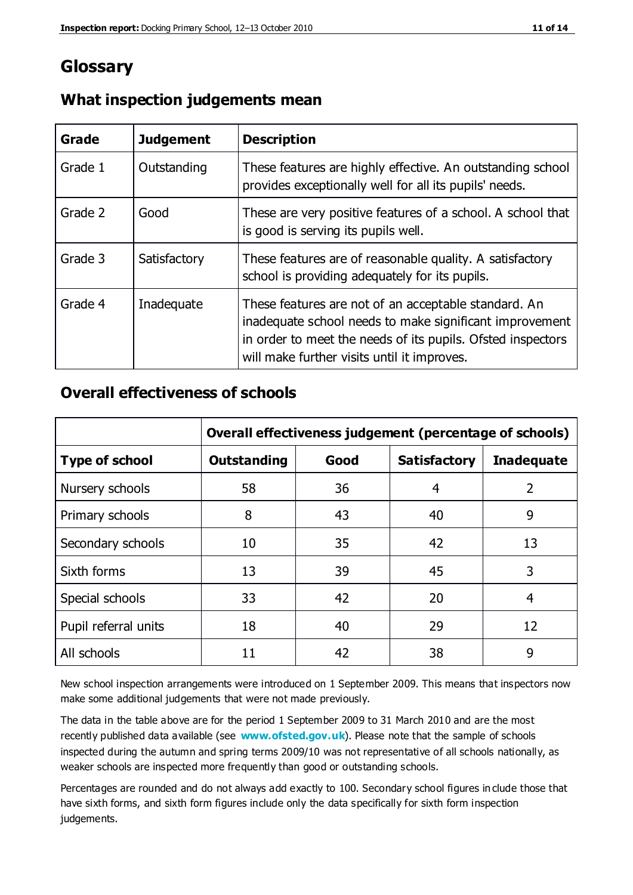## **Glossary**

| Grade   | <b>Judgement</b> | <b>Description</b>                                                                                                                                                                                                            |
|---------|------------------|-------------------------------------------------------------------------------------------------------------------------------------------------------------------------------------------------------------------------------|
| Grade 1 | Outstanding      | These features are highly effective. An outstanding school<br>provides exceptionally well for all its pupils' needs.                                                                                                          |
| Grade 2 | Good             | These are very positive features of a school. A school that<br>is good is serving its pupils well.                                                                                                                            |
| Grade 3 | Satisfactory     | These features are of reasonable quality. A satisfactory<br>school is providing adequately for its pupils.                                                                                                                    |
| Grade 4 | Inadequate       | These features are not of an acceptable standard. An<br>inadequate school needs to make significant improvement<br>in order to meet the needs of its pupils. Ofsted inspectors<br>will make further visits until it improves. |

#### **What inspection judgements mean**

#### **Overall effectiveness of schools**

|                       | Overall effectiveness judgement (percentage of schools) |      |                     |                   |
|-----------------------|---------------------------------------------------------|------|---------------------|-------------------|
| <b>Type of school</b> | <b>Outstanding</b>                                      | Good | <b>Satisfactory</b> | <b>Inadequate</b> |
| Nursery schools       | 58                                                      | 36   | 4                   | $\overline{2}$    |
| Primary schools       | 8                                                       | 43   | 40                  | 9                 |
| Secondary schools     | 10                                                      | 35   | 42                  | 13                |
| Sixth forms           | 13                                                      | 39   | 45                  | 3                 |
| Special schools       | 33                                                      | 42   | 20                  | 4                 |
| Pupil referral units  | 18                                                      | 40   | 29                  | 12                |
| All schools           | 11                                                      | 42   | 38                  | 9                 |

New school inspection arrangements were introduced on 1 September 2009. This means that inspectors now make some additional judgements that were not made previously.

The data in the table above are for the period 1 September 2009 to 31 March 2010 and are the most recently published data available (see **[www.ofsted.gov.uk](http://www.ofsted.gov.uk/)**). Please note that the sample of schools inspected during the autumn and spring terms 2009/10 was not representative of all schools nationally, as weaker schools are inspected more frequently than good or outstanding schools.

Percentages are rounded and do not always add exactly to 100. Secondary school figures in clude those that have sixth forms, and sixth form figures include only the data specifically for sixth form inspection judgements.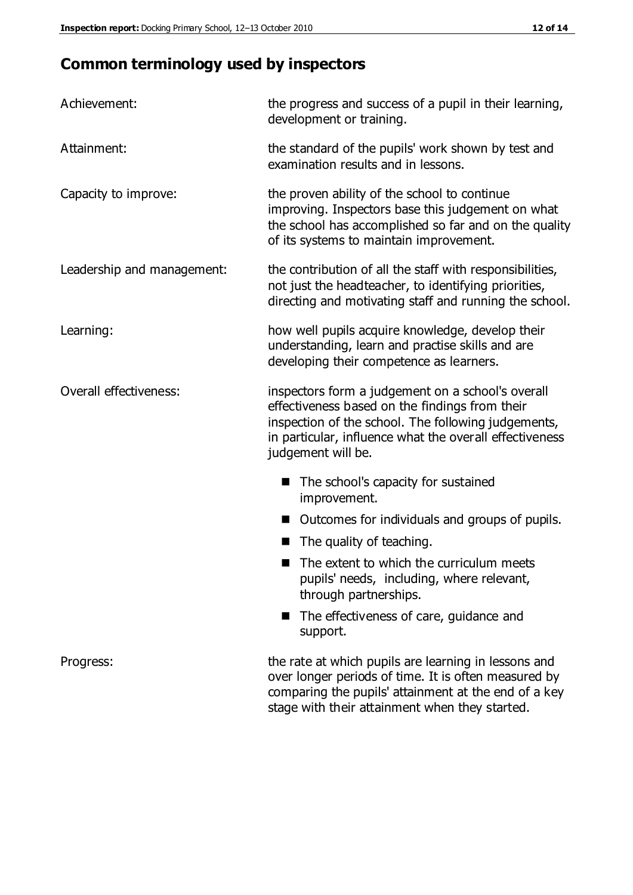## **Common terminology used by inspectors**

| Achievement:                  | the progress and success of a pupil in their learning,<br>development or training.                                                                                                                                                          |  |  |
|-------------------------------|---------------------------------------------------------------------------------------------------------------------------------------------------------------------------------------------------------------------------------------------|--|--|
| Attainment:                   | the standard of the pupils' work shown by test and<br>examination results and in lessons.                                                                                                                                                   |  |  |
| Capacity to improve:          | the proven ability of the school to continue<br>improving. Inspectors base this judgement on what<br>the school has accomplished so far and on the quality<br>of its systems to maintain improvement.                                       |  |  |
| Leadership and management:    | the contribution of all the staff with responsibilities,<br>not just the headteacher, to identifying priorities,<br>directing and motivating staff and running the school.                                                                  |  |  |
| Learning:                     | how well pupils acquire knowledge, develop their<br>understanding, learn and practise skills and are<br>developing their competence as learners.                                                                                            |  |  |
| <b>Overall effectiveness:</b> | inspectors form a judgement on a school's overall<br>effectiveness based on the findings from their<br>inspection of the school. The following judgements,<br>in particular, influence what the overall effectiveness<br>judgement will be. |  |  |
|                               | The school's capacity for sustained<br>improvement.                                                                                                                                                                                         |  |  |
|                               | Outcomes for individuals and groups of pupils.                                                                                                                                                                                              |  |  |
|                               | The quality of teaching.                                                                                                                                                                                                                    |  |  |
|                               | The extent to which the curriculum meets<br>pupils' needs, including, where relevant,<br>through partnerships.                                                                                                                              |  |  |
|                               | The effectiveness of care, guidance and<br>support.                                                                                                                                                                                         |  |  |
| Progress:                     | the rate at which pupils are learning in lessons and<br>over longer periods of time. It is often measured by<br>comparing the pupils' attainment at the end of a key                                                                        |  |  |

stage with their attainment when they started.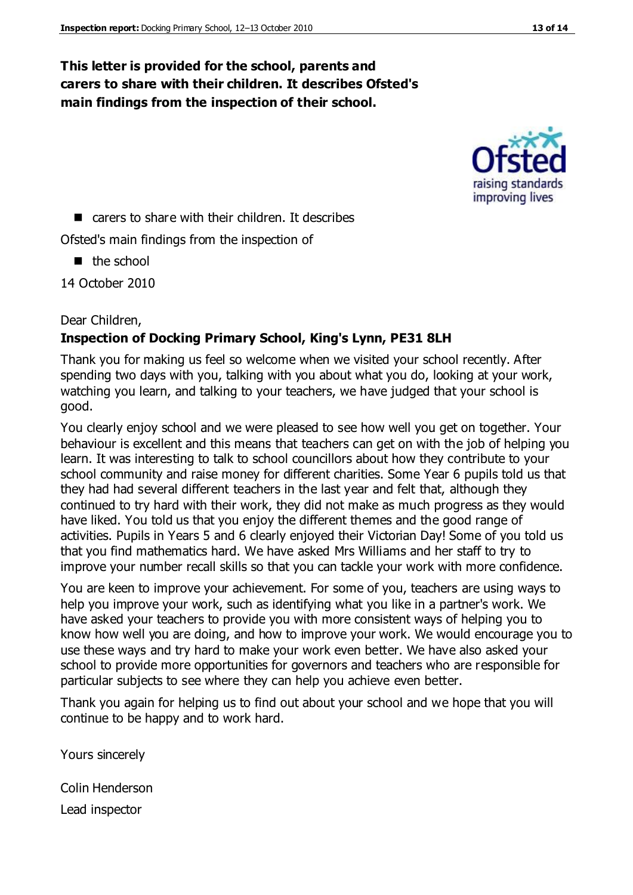#### **This letter is provided for the school, parents and carers to share with their children. It describes Ofsted's main findings from the inspection of their school.**



■ carers to share with their children. It describes

Ofsted's main findings from the inspection of

 $\blacksquare$  the school

14 October 2010

#### Dear Children,

#### **Inspection of Docking Primary School, King's Lynn, PE31 8LH**

Thank you for making us feel so welcome when we visited your school recently. After spending two days with you, talking with you about what you do, looking at your work, watching you learn, and talking to your teachers, we have judged that your school is good.

You clearly enjoy school and we were pleased to see how well you get on together. Your behaviour is excellent and this means that teachers can get on with the job of helping you learn. It was interesting to talk to school councillors about how they contribute to your school community and raise money for different charities. Some Year 6 pupils told us that they had had several different teachers in the last year and felt that, although they continued to try hard with their work, they did not make as much progress as they would have liked. You told us that you enjoy the different themes and the good range of activities. Pupils in Years 5 and 6 clearly enjoyed their Victorian Day! Some of you told us that you find mathematics hard. We have asked Mrs Williams and her staff to try to improve your number recall skills so that you can tackle your work with more confidence.

You are keen to improve your achievement. For some of you, teachers are using ways to help you improve your work, such as identifying what you like in a partner's work. We have asked your teachers to provide you with more consistent ways of helping you to know how well you are doing, and how to improve your work. We would encourage you to use these ways and try hard to make your work even better. We have also asked your school to provide more opportunities for governors and teachers who are responsible for particular subjects to see where they can help you achieve even better.

Thank you again for helping us to find out about your school and we hope that you will continue to be happy and to work hard.

Yours sincerely

Colin Henderson Lead inspector